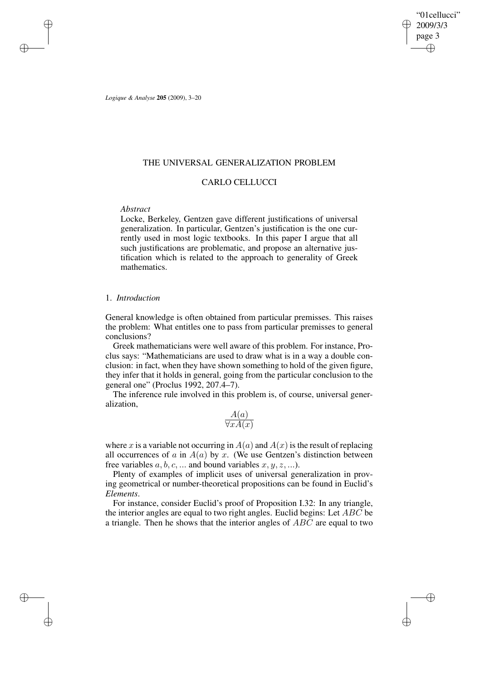"01cellucci" 2009/3/3 page 3 ✐ ✐

✐

✐

*Logique & Analyse* **205** (2009), 3–20

✐

✐

✐

✐

## THE UNIVERSAL GENERALIZATION PROBLEM

# CARLO CELLUCCI

# *Abstract*

Locke, Berkeley, Gentzen gave different justifications of universal generalization. In particular, Gentzen's justification is the one currently used in most logic textbooks. In this paper I argue that all such justifications are problematic, and propose an alternative justification which is related to the approach to generality of Greek mathematics.

# 1. *Introduction*

General knowledge is often obtained from particular premisses. This raises the problem: What entitles one to pass from particular premisses to general conclusions?

Greek mathematicians were well aware of this problem. For instance, Proclus says: "Mathematicians are used to draw what is in a way a double conclusion: in fact, when they have shown something to hold of the given figure, they infer that it holds in general, going from the particular conclusion to the general one" (Proclus 1992, 207.4–7).

The inference rule involved in this problem is, of course, universal generalization,

$$
\frac{A(a)}{\forall x A(x)}
$$

where x is a variable not occurring in  $A(a)$  and  $A(x)$  is the result of replacing all occurrences of a in  $A(a)$  by x. (We use Gentzen's distinction between free variables  $a, b, c, \dots$  and bound variables  $x, y, z, \dots$ ).

Plenty of examples of implicit uses of universal generalization in proving geometrical or number-theoretical propositions can be found in Euclid's *Elements*.

For instance, consider Euclid's proof of Proposition I.32: In any triangle, the interior angles are equal to two right angles. Euclid begins: Let  $ABC$  be a triangle. Then he shows that the interior angles of ABC are equal to two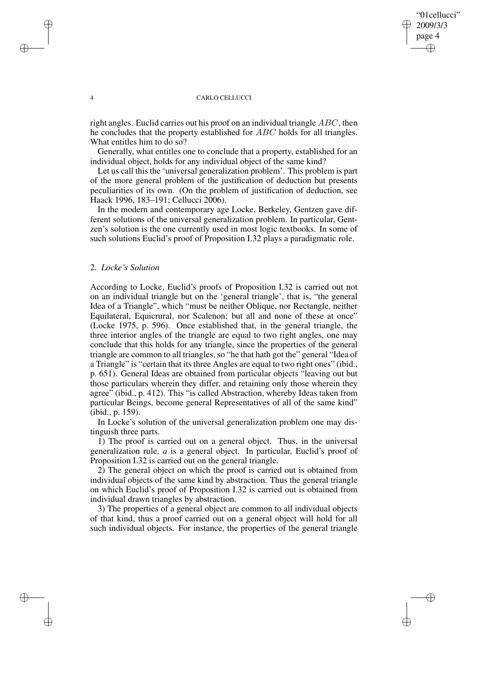## "01cellucci" 2009/3/3 page 4 ✐ ✐

✐

✐

#### 4 CARLO CELLUCCI

right angles. Euclid carries out his proof on an individual triangle ABC, then he concludes that the property established for ABC holds for all triangles. What entitles him to do so?

Generally, what entitles one to conclude that a property, established for an individual object, holds for any individual object of the same kind?

Let us call this the 'universal generalization problem'. This problem is part of the more general problem of the justification of deduction but presents peculiarities of its own. (On the problem of justification of deduction, see Haack 1996, 183–191; Cellucci 2006).

In the modern and contemporary age Locke, Berkeley, Gentzen gave different solutions of the universal generalization problem. In particular, Gentzen's solution is the one currently used in most logic textbooks. In some of such solutions Euclid's proof of Proposition I.32 plays a paradigmatic role.

## 2. *Locke's Solution*

✐

✐

✐

✐

According to Locke, Euclid's proofs of Proposition I.32 is carried out not on an individual triangle but on the 'general triangle', that is, "the general Idea of a Triangle", which "must be neither Oblique, nor Rectangle, neither Equilateral, Equicrural, nor Scalenon; but all and none of these at once" (Locke 1975, p. 596). Once established that, in the general triangle, the three interior angles of the triangle are equal to two right angles, one may conclude that this holds for any triangle, since the properties of the general triangle are common to all triangles, so "he that hath got the" general "Idea of a Triangle" is "certain that its three Angles are equal to two right ones" (ibid., p. 651). General Ideas are obtained from particular objects "leaving out but those particulars wherein they differ, and retaining only those wherein they agree" (ibid., p. 412). This "is called Abstraction, whereby Ideas taken from particular Beings, become general Representatives of all of the same kind" (ibid., p. 159).

In Locke's solution of the universal generalization problem one may distinguish three parts.

1) The proof is carried out on a general object. Thus, in the universal generalization rule, *a* is a general object. In particular, Euclid's proof of Proposition I.32 is carried out on the general triangle.

2) The general object on which the proof is carried out is obtained from individual objects of the same kind by abstraction. Thus the general triangle on which Euclid's proof of Proposition I.32 is carried out is obtained from individual drawn triangles by abstraction.

3) The properties of a general object are common to all individual objects of that kind, thus a proof carried out on a general object will hold for all such individual objects. For instance, the properties of the general triangle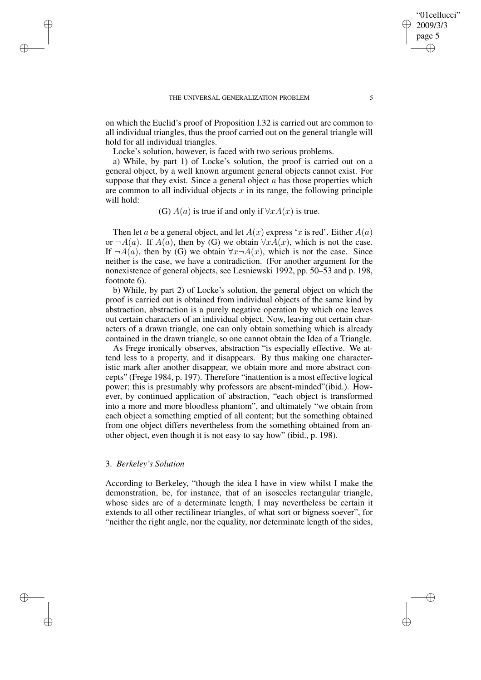on which the Euclid's proof of Proposition I.32 is carried out are common to all individual triangles, thus the proof carried out on the general triangle will hold for all individual triangles.

Locke's solution, however, is faced with two serious problems.

a) While, by part 1) of Locke's solution, the proof is carried out on a general object, by a well known argument general objects cannot exist. For suppose that they exist. Since a general object  $a$  has those properties which are common to all individual objects  $x$  in its range, the following principle will hold:

# (G)  $A(a)$  is true if and only if  $\forall x A(x)$  is true.

Then let a be a general object, and let  $A(x)$  express 'x is red'. Either  $A(a)$ or  $\neg A(a)$ . If  $A(a)$ , then by (G) we obtain  $\forall x A(x)$ , which is not the case. If  $\neg A(a)$ , then by (G) we obtain  $\forall x \neg A(x)$ , which is not the case. Since neither is the case, we have a contradiction. (For another argument for the nonexistence of general objects, see Lesniewski 1992, pp. 50–53 and p. 198, footnote 6).

b) While, by part 2) of Locke's solution, the general object on which the proof is carried out is obtained from individual objects of the same kind by abstraction, abstraction is a purely negative operation by which one leaves out certain characters of an individual object. Now, leaving out certain characters of a drawn triangle, one can only obtain something which is already contained in the drawn triangle, so one cannot obtain the Idea of a Triangle.

As Frege ironically observes, abstraction "is especially effective. We attend less to a property, and it disappears. By thus making one characteristic mark after another disappear, we obtain more and more abstract concepts" (Frege 1984, p. 197). Therefore "inattention is a most effective logical power; this is presumably why professors are absent-minded"(ibid.). However, by continued application of abstraction, "each object is transformed into a more and more bloodless phantom", and ultimately "we obtain from each object a something emptied of all content; but the something obtained from one object differs nevertheless from the something obtained from another object, even though it is not easy to say how" (ibid., p. 198).

### 3. *Berkeley's Solution*

✐

✐

✐

✐

According to Berkeley, "though the idea I have in view whilst I make the demonstration, be, for instance, that of an isosceles rectangular triangle, whose sides are of a determinate length, I may nevertheless be certain it extends to all other rectilinear triangles, of what sort or bigness soever", for "neither the right angle, nor the equality, nor determinate length of the sides,

"01cellucci" 2009/3/3 page 5

✐

✐

✐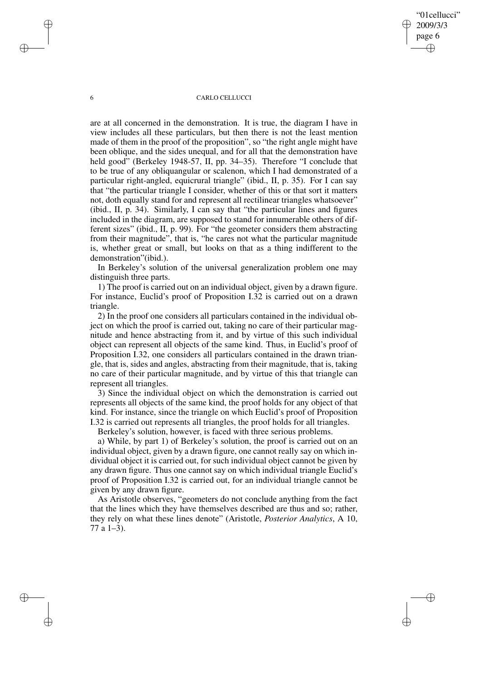"01cellucci" 2009/3/3 page 6 ✐ ✐

✐

✐

#### 6 CARLO CELLUCCI

are at all concerned in the demonstration. It is true, the diagram I have in view includes all these particulars, but then there is not the least mention made of them in the proof of the proposition", so "the right angle might have been oblique, and the sides unequal, and for all that the demonstration have held good" (Berkeley 1948-57, II, pp. 34–35). Therefore "I conclude that to be true of any obliquangular or scalenon, which I had demonstrated of a particular right-angled, equicrural triangle" (ibid., II, p. 35). For I can say that "the particular triangle I consider, whether of this or that sort it matters not, doth equally stand for and represent all rectilinear triangles whatsoever" (ibid., II, p. 34). Similarly, I can say that "the particular lines and figures included in the diagram, are supposed to stand for innumerable others of different sizes" (ibid., II, p. 99). For "the geometer considers them abstracting from their magnitude", that is, "he cares not what the particular magnitude is, whether great or small, but looks on that as a thing indifferent to the demonstration"(ibid.).

In Berkeley's solution of the universal generalization problem one may distinguish three parts.

1) The proof is carried out on an individual object, given by a drawn figure. For instance, Euclid's proof of Proposition I.32 is carried out on a drawn triangle.

2) In the proof one considers all particulars contained in the individual object on which the proof is carried out, taking no care of their particular magnitude and hence abstracting from it, and by virtue of this such individual object can represent all objects of the same kind. Thus, in Euclid's proof of Proposition I.32, one considers all particulars contained in the drawn triangle, that is, sides and angles, abstracting from their magnitude, that is, taking no care of their particular magnitude, and by virtue of this that triangle can represent all triangles.

3) Since the individual object on which the demonstration is carried out represents all objects of the same kind, the proof holds for any object of that kind. For instance, since the triangle on which Euclid's proof of Proposition I.32 is carried out represents all triangles, the proof holds for all triangles.

Berkeley's solution, however, is faced with three serious problems.

a) While, by part 1) of Berkeley's solution, the proof is carried out on an individual object, given by a drawn figure, one cannot really say on which individual object it is carried out, for such individual object cannot be given by any drawn figure. Thus one cannot say on which individual triangle Euclid's proof of Proposition I.32 is carried out, for an individual triangle cannot be given by any drawn figure.

As Aristotle observes, "geometers do not conclude anything from the fact that the lines which they have themselves described are thus and so; rather, they rely on what these lines denote" (Aristotle, *Posterior Analytics*, A 10, 77 a 1–3).

✐

✐

✐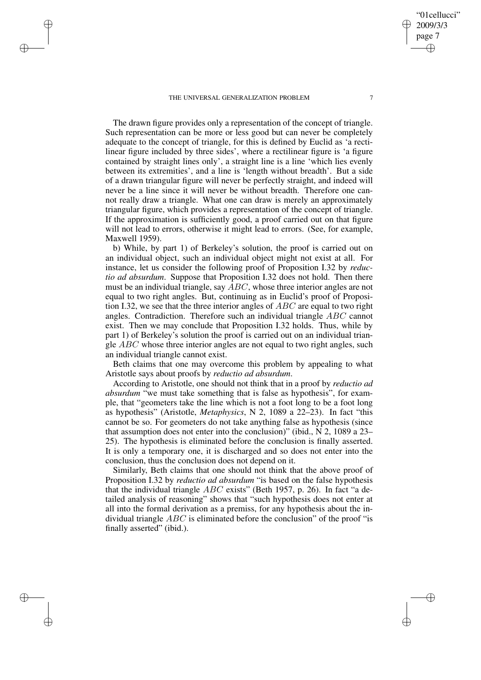✐

✐

✐

✐

The drawn figure provides only a representation of the concept of triangle. Such representation can be more or less good but can never be completely adequate to the concept of triangle, for this is defined by Euclid as 'a rectilinear figure included by three sides', where a rectilinear figure is 'a figure contained by straight lines only', a straight line is a line 'which lies evenly between its extremities', and a line is 'length without breadth'. But a side of a drawn triangular figure will never be perfectly straight, and indeed will never be a line since it will never be without breadth. Therefore one cannot really draw a triangle. What one can draw is merely an approximately triangular figure, which provides a representation of the concept of triangle. If the approximation is sufficiently good, a proof carried out on that figure will not lead to errors, otherwise it might lead to errors. (See, for example, Maxwell 1959).

b) While, by part 1) of Berkeley's solution, the proof is carried out on an individual object, such an individual object might not exist at all. For instance, let us consider the following proof of Proposition I.32 by *reductio ad absurdum*. Suppose that Proposition I.32 does not hold. Then there must be an individual triangle, say  $\overline{ABC}$ , whose three interior angles are not equal to two right angles. But, continuing as in Euclid's proof of Proposition I.32, we see that the three interior angles of  $ABC$  are equal to two right angles. Contradiction. Therefore such an individual triangle ABC cannot exist. Then we may conclude that Proposition I.32 holds. Thus, while by part 1) of Berkeley's solution the proof is carried out on an individual triangle *ABC* whose three interior angles are not equal to two right angles, such an individual triangle cannot exist.

Beth claims that one may overcome this problem by appealing to what Aristotle says about proofs by *reductio ad absurdum*.

According to Aristotle, one should not think that in a proof by *reductio ad absurdum* "we must take something that is false as hypothesis", for example, that "geometers take the line which is not a foot long to be a foot long as hypothesis" (Aristotle, *Metaphysics*, N 2, 1089 a 22–23). In fact "this cannot be so. For geometers do not take anything false as hypothesis (since that assumption does not enter into the conclusion)" (ibid., N 2, 1089 a 23– 25). The hypothesis is eliminated before the conclusion is finally asserted. It is only a temporary one, it is discharged and so does not enter into the conclusion, thus the conclusion does not depend on it.

Similarly, Beth claims that one should not think that the above proof of Proposition I.32 by *reductio ad absurdum* "is based on the false hypothesis that the individual triangle ABC exists" (Beth 1957, p. 26). In fact "a detailed analysis of reasoning" shows that "such hypothesis does not enter at all into the formal derivation as a premiss, for any hypothesis about the individual triangle  $ABC$  is eliminated before the conclusion" of the proof "is finally asserted" (ibid.).

"01cellucci" 2009/3/3 page 7

✐

✐

✐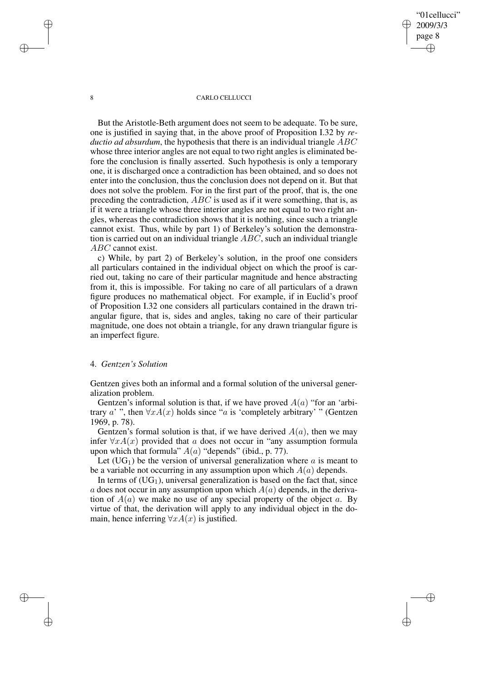## "01cellucci" 2009/3/3 page 8 ✐ ✐

✐

✐

#### 8 CARLO CELLUCCI

But the Aristotle-Beth argument does not seem to be adequate. To be sure, one is justified in saying that, in the above proof of Proposition I.32 by *reductio ad absurdum*, the hypothesis that there is an individual triangle ABC whose three interior angles are not equal to two right angles is eliminated before the conclusion is finally asserted. Such hypothesis is only a temporary one, it is discharged once a contradiction has been obtained, and so does not enter into the conclusion, thus the conclusion does not depend on it. But that does not solve the problem. For in the first part of the proof, that is, the one preceding the contradiction, ABC is used as if it were something, that is, as if it were a triangle whose three interior angles are not equal to two right angles, whereas the contradiction shows that it is nothing, since such a triangle cannot exist. Thus, while by part 1) of Berkeley's solution the demonstration is carried out on an individual triangle ABC, such an individual triangle ABC cannot exist.

c) While, by part 2) of Berkeley's solution, in the proof one considers all particulars contained in the individual object on which the proof is carried out, taking no care of their particular magnitude and hence abstracting from it, this is impossible. For taking no care of all particulars of a drawn figure produces no mathematical object. For example, if in Euclid's proof of Proposition I.32 one considers all particulars contained in the drawn triangular figure, that is, sides and angles, taking no care of their particular magnitude, one does not obtain a triangle, for any drawn triangular figure is an imperfect figure.

### 4. *Gentzen's Solution*

✐

✐

✐

✐

Gentzen gives both an informal and a formal solution of the universal generalization problem.

Gentzen's informal solution is that, if we have proved  $A(a)$  "for an 'arbitrary a' ", then  $\forall x A(x)$  holds since "a is 'completely arbitrary' " (Gentzen 1969, p. 78).

Gentzen's formal solution is that, if we have derived  $A(a)$ , then we may infer  $\forall x A(x)$  provided that a does not occur in "any assumption formula" upon which that formula"  $A(a)$  "depends" (ibid., p. 77).

Let  $(UG<sub>1</sub>)$  be the version of universal generalization where a is meant to be a variable not occurring in any assumption upon which  $A(a)$  depends.

In terms of  $(UG_1)$ , universal generalization is based on the fact that, since a does not occur in any assumption upon which  $A(a)$  depends, in the derivation of  $A(a)$  we make no use of any special property of the object a. By virtue of that, the derivation will apply to any individual object in the domain, hence inferring  $\forall x A(x)$  is justified.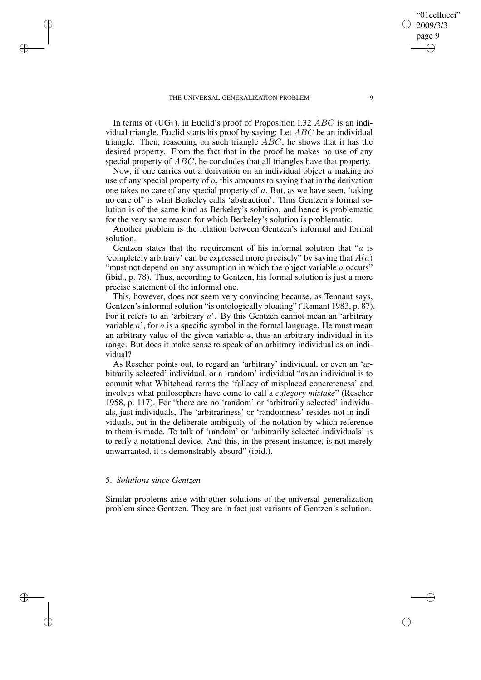In terms of  $(UG_1)$ , in Euclid's proof of Proposition I.32 ABC is an individual triangle. Euclid starts his proof by saying: Let ABC be an individual triangle. Then, reasoning on such triangle  $ABC$ , he shows that it has the desired property. From the fact that in the proof he makes no use of any special property of  $ABC$ , he concludes that all triangles have that property.

Now, if one carries out a derivation on an individual object  $\alpha$  making no use of any special property of  $a$ , this amounts to saying that in the derivation one takes no care of any special property of a. But, as we have seen, 'taking no care of' is what Berkeley calls 'abstraction'. Thus Gentzen's formal solution is of the same kind as Berkeley's solution, and hence is problematic for the very same reason for which Berkeley's solution is problematic.

Another problem is the relation between Gentzen's informal and formal solution.

Gentzen states that the requirement of his informal solution that " $a$  is 'completely arbitrary' can be expressed more precisely" by saying that  $A(a)$ "must not depend on any assumption in which the object variable a occurs" (ibid., p. 78). Thus, according to Gentzen, his formal solution is just a more precise statement of the informal one.

This, however, does not seem very convincing because, as Tennant says, Gentzen's informal solution "is ontologically bloating" (Tennant 1983, p. 87). For it refers to an 'arbitrary  $a'$ . By this Gentzen cannot mean an 'arbitrary variable  $a'$ , for  $a$  is a specific symbol in the formal language. He must mean an arbitrary value of the given variable  $a$ , thus an arbitrary individual in its range. But does it make sense to speak of an arbitrary individual as an individual?

As Rescher points out, to regard an 'arbitrary' individual, or even an 'arbitrarily selected' individual, or a 'random' individual "as an individual is to commit what Whitehead terms the 'fallacy of misplaced concreteness' and involves what philosophers have come to call a *category mistake*" (Rescher 1958, p. 117). For "there are no 'random' or 'arbitrarily selected' individuals, just individuals, The 'arbitrariness' or 'randomness' resides not in individuals, but in the deliberate ambiguity of the notation by which reference to them is made. To talk of 'random' or 'arbitrarily selected individuals' is to reify a notational device. And this, in the present instance, is not merely unwarranted, it is demonstrably absurd" (ibid.).

### 5. *Solutions since Gentzen*

✐

✐

✐

✐

Similar problems arise with other solutions of the universal generalization problem since Gentzen. They are in fact just variants of Gentzen's solution.

"01cellucci" 2009/3/3 page 9

✐

✐

✐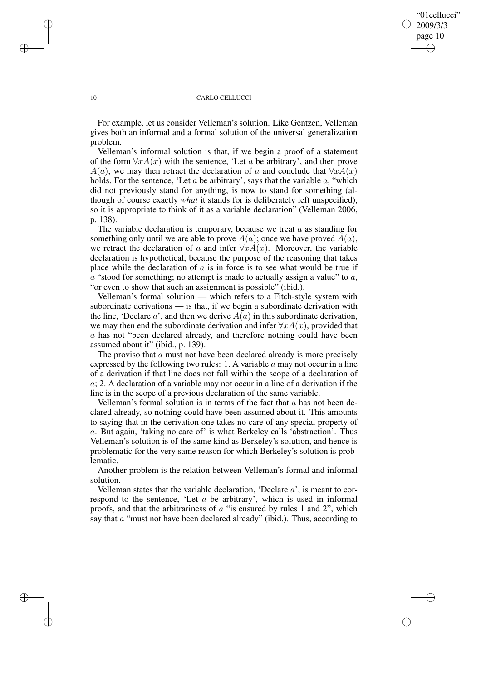## "01cellucci" 2009/3/3 page 10 ✐ ✐

✐

✐

#### 10 CARLO CELLUCCI

For example, let us consider Velleman's solution. Like Gentzen, Velleman gives both an informal and a formal solution of the universal generalization problem.

Velleman's informal solution is that, if we begin a proof of a statement of the form  $\forall x A(x)$  with the sentence, 'Let a be arbitrary', and then prove  $A(a)$ , we may then retract the declaration of a and conclude that  $\forall x A(x)$ holds. For the sentence, 'Let  $a$  be arbitrary', says that the variable  $a$ , "which did not previously stand for anything, is now to stand for something (although of course exactly *what* it stands for is deliberately left unspecified), so it is appropriate to think of it as a variable declaration" (Velleman 2006, p. 138).

The variable declaration is temporary, because we treat  $a$  as standing for something only until we are able to prove  $A(a)$ ; once we have proved  $A(a)$ , we retract the declaration of a and infer  $\forall x A(x)$ . Moreover, the variable declaration is hypothetical, because the purpose of the reasoning that takes place while the declaration of  $\alpha$  is in force is to see what would be true if  $a$  "stood for something; no attempt is made to actually assign a value" to  $a$ , "or even to show that such an assignment is possible" (ibid.).

Velleman's formal solution — which refers to a Fitch-style system with subordinate derivations — is that, if we begin a subordinate derivation with the line, 'Declare a', and then we derive  $A(a)$  in this subordinate derivation, we may then end the subordinate derivation and infer  $\forall x A(x)$ , provided that a has not "been declared already, and therefore nothing could have been assumed about it" (ibid., p. 139).

The proviso that a must not have been declared already is more precisely expressed by the following two rules: 1. A variable  $\alpha$  may not occur in a line of a derivation if that line does not fall within the scope of a declaration of a; 2. A declaration of a variable may not occur in a line of a derivation if the line is in the scope of a previous declaration of the same variable.

Velleman's formal solution is in terms of the fact that  $a$  has not been declared already, so nothing could have been assumed about it. This amounts to saying that in the derivation one takes no care of any special property of a. But again, 'taking no care of' is what Berkeley calls 'abstraction'. Thus Velleman's solution is of the same kind as Berkeley's solution, and hence is problematic for the very same reason for which Berkeley's solution is problematic.

Another problem is the relation between Velleman's formal and informal solution.

Velleman states that the variable declaration, 'Declare  $a$ ', is meant to correspond to the sentence, 'Let a be arbitrary', which is used in informal proofs, and that the arbitrariness of  $\alpha$  "is ensured by rules 1 and 2", which say that  $\alpha$  "must not have been declared already" (ibid.). Thus, according to

✐

✐

✐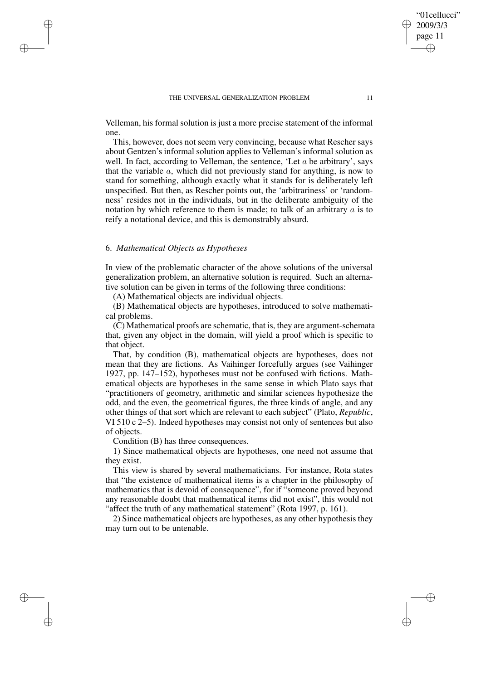Velleman, his formal solution is just a more precise statement of the informal one.

This, however, does not seem very convincing, because what Rescher says about Gentzen's informal solution applies to Velleman's informal solution as well. In fact, according to Velleman, the sentence, 'Let  $a$  be arbitrary', says that the variable  $a$ , which did not previously stand for anything, is now to stand for something, although exactly what it stands for is deliberately left unspecified. But then, as Rescher points out, the 'arbitrariness' or 'randomness' resides not in the individuals, but in the deliberate ambiguity of the notation by which reference to them is made; to talk of an arbitrary  $a$  is to reify a notational device, and this is demonstrably absurd.

### 6. *Mathematical Objects as Hypotheses*

✐

✐

✐

✐

In view of the problematic character of the above solutions of the universal generalization problem, an alternative solution is required. Such an alternative solution can be given in terms of the following three conditions:

(A) Mathematical objects are individual objects.

(B) Mathematical objects are hypotheses, introduced to solve mathematical problems.

(C) Mathematical proofs are schematic, that is, they are argument-schemata that, given any object in the domain, will yield a proof which is specific to that object.

That, by condition (B), mathematical objects are hypotheses, does not mean that they are fictions. As Vaihinger forcefully argues (see Vaihinger 1927, pp. 147–152), hypotheses must not be confused with fictions. Mathematical objects are hypotheses in the same sense in which Plato says that "practitioners of geometry, arithmetic and similar sciences hypothesize the odd, and the even, the geometrical figures, the three kinds of angle, and any other things of that sort which are relevant to each subject" (Plato, *Republic*, VI 510 c 2–5). Indeed hypotheses may consist not only of sentences but also of objects.

Condition (B) has three consequences.

1) Since mathematical objects are hypotheses, one need not assume that they exist.

This view is shared by several mathematicians. For instance, Rota states that "the existence of mathematical items is a chapter in the philosophy of mathematics that is devoid of consequence", for if "someone proved beyond any reasonable doubt that mathematical items did not exist", this would not "affect the truth of any mathematical statement" (Rota 1997, p. 161).

2) Since mathematical objects are hypotheses, as any other hypothesis they may turn out to be untenable.

"01cellucci" 2009/3/3 page 11

✐

✐

✐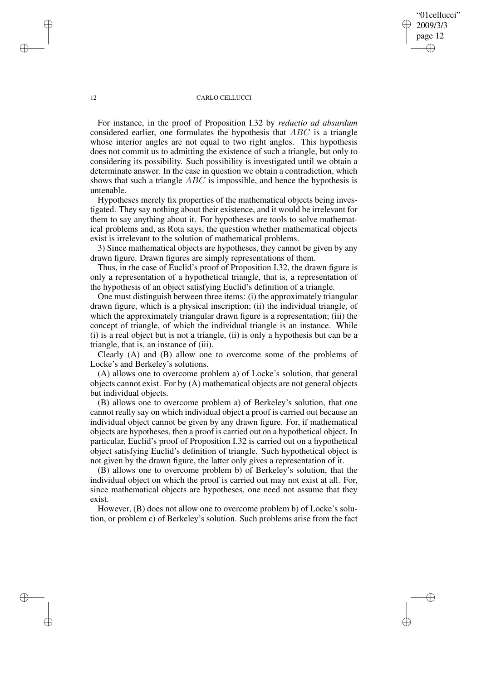## "01cellucci" 2009/3/3 page 12 ✐ ✐

✐

✐

#### 12 CARLO CELLUCCI

For instance, in the proof of Proposition I.32 by *reductio ad absurdum* considered earlier, one formulates the hypothesis that ABC is a triangle whose interior angles are not equal to two right angles. This hypothesis does not commit us to admitting the existence of such a triangle, but only to considering its possibility. Such possibility is investigated until we obtain a determinate answer. In the case in question we obtain a contradiction, which shows that such a triangle ABC is impossible, and hence the hypothesis is untenable.

Hypotheses merely fix properties of the mathematical objects being investigated. They say nothing about their existence, and it would be irrelevant for them to say anything about it. For hypotheses are tools to solve mathematical problems and, as Rota says, the question whether mathematical objects exist is irrelevant to the solution of mathematical problems.

3) Since mathematical objects are hypotheses, they cannot be given by any drawn figure. Drawn figures are simply representations of them.

Thus, in the case of Euclid's proof of Proposition I.32, the drawn figure is only a representation of a hypothetical triangle, that is, a representation of the hypothesis of an object satisfying Euclid's definition of a triangle.

One must distinguish between three items: (i) the approximately triangular drawn figure, which is a physical inscription; (ii) the individual triangle, of which the approximately triangular drawn figure is a representation; (iii) the concept of triangle, of which the individual triangle is an instance. While (i) is a real object but is not a triangle, (ii) is only a hypothesis but can be a triangle, that is, an instance of (iii).

Clearly (A) and (B) allow one to overcome some of the problems of Locke's and Berkeley's solutions.

(A) allows one to overcome problem a) of Locke's solution, that general objects cannot exist. For by (A) mathematical objects are not general objects but individual objects.

(B) allows one to overcome problem a) of Berkeley's solution, that one cannot really say on which individual object a proof is carried out because an individual object cannot be given by any drawn figure. For, if mathematical objects are hypotheses, then a proof is carried out on a hypothetical object. In particular, Euclid's proof of Proposition I.32 is carried out on a hypothetical object satisfying Euclid's definition of triangle. Such hypothetical object is not given by the drawn figure, the latter only gives a representation of it.

(B) allows one to overcome problem b) of Berkeley's solution, that the individual object on which the proof is carried out may not exist at all. For, since mathematical objects are hypotheses, one need not assume that they exist.

However, (B) does not allow one to overcome problem b) of Locke's solution, or problem c) of Berkeley's solution. Such problems arise from the fact

✐

✐

✐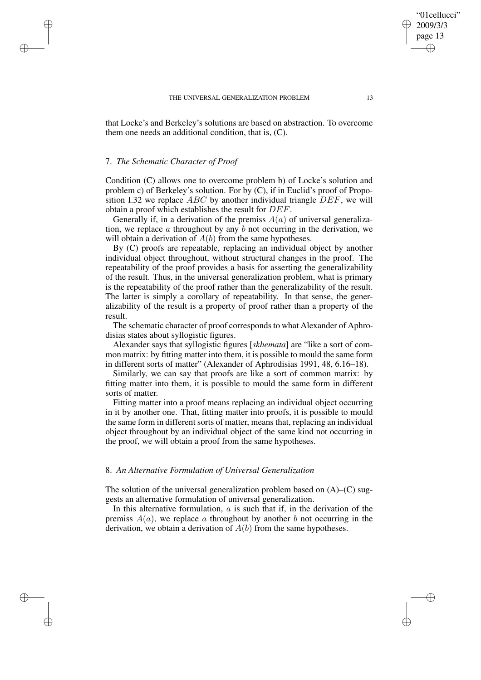that Locke's and Berkeley's solutions are based on abstraction. To overcome them one needs an additional condition, that is, (C).

### 7. *The Schematic Character of Proof*

✐

✐

✐

✐

Condition (C) allows one to overcome problem b) of Locke's solution and problem c) of Berkeley's solution. For by (C), if in Euclid's proof of Proposition I.32 we replace  $ABC$  by another individual triangle  $DEF$ , we will obtain a proof which establishes the result for DEF.

Generally if, in a derivation of the premiss  $A(a)$  of universal generalization, we replace  $\alpha$  throughout by any  $\delta$  not occurring in the derivation, we will obtain a derivation of  $A(b)$  from the same hypotheses.

By (C) proofs are repeatable, replacing an individual object by another individual object throughout, without structural changes in the proof. The repeatability of the proof provides a basis for asserting the generalizability of the result. Thus, in the universal generalization problem, what is primary is the repeatability of the proof rather than the generalizability of the result. The latter is simply a corollary of repeatability. In that sense, the generalizability of the result is a property of proof rather than a property of the result.

The schematic character of proof corresponds to what Alexander of Aphrodisias states about syllogistic figures.

Alexander says that syllogistic figures [*skhemata*] are "like a sort of common matrix: by fitting matter into them, it is possible to mould the same form in different sorts of matter" (Alexander of Aphrodisias 1991, 48, 6.16–18).

Similarly, we can say that proofs are like a sort of common matrix: by fitting matter into them, it is possible to mould the same form in different sorts of matter.

Fitting matter into a proof means replacing an individual object occurring in it by another one. That, fitting matter into proofs, it is possible to mould the same form in different sorts of matter, means that, replacing an individual object throughout by an individual object of the same kind not occurring in the proof, we will obtain a proof from the same hypotheses.

## 8. *An Alternative Formulation of Universal Generalization*

The solution of the universal generalization problem based on  $(A)$ – $(C)$  suggests an alternative formulation of universal generalization.

In this alternative formulation,  $a$  is such that if, in the derivation of the premiss  $A(a)$ , we replace a throughout by another b not occurring in the derivation, we obtain a derivation of  $A(b)$  from the same hypotheses.

"01cellucci" 2009/3/3 page 13

✐

✐

✐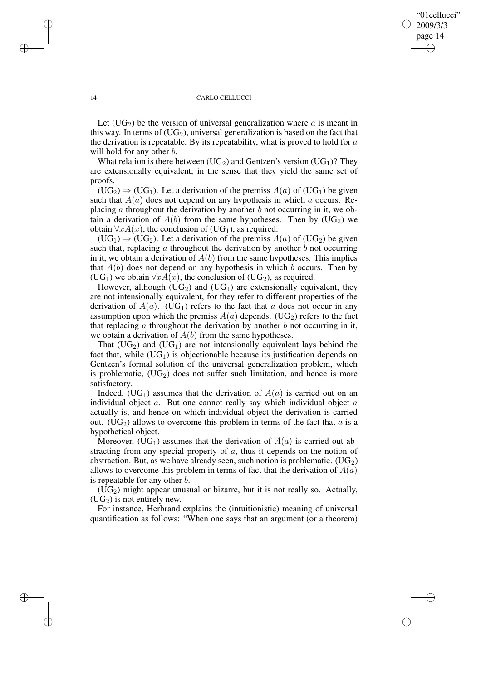✐

✐

#### 14 CARLO CELLUCCI

Let  $(UG_2)$  be the version of universal generalization where a is meant in this way. In terms of  $(UG_2)$ , universal generalization is based on the fact that the derivation is repeatable. By its repeatability, what is proved to hold for  $a$ will hold for any other *b*.

What relation is there between  $(UG_2)$  and Gentzen's version  $(UG_1)$ ? They are extensionally equivalent, in the sense that they yield the same set of proofs.

 $(UG_2) \Rightarrow (UG_1)$ . Let a derivation of the premiss  $A(a)$  of  $(UG_1)$  be given such that  $A(a)$  does not depend on any hypothesis in which a occurs. Replacing  $\alpha$  throughout the derivation by another  $\delta$  not occurring in it, we obtain a derivation of  $A(b)$  from the same hypotheses. Then by  $(UG_2)$  we obtain  $\forall x A(x)$ , the conclusion of (UG<sub>1</sub>), as required.

 $(UG_1) \Rightarrow (UG_2)$ . Let a derivation of the premiss  $A(a)$  of  $(UG_2)$  be given such that, replacing  $\alpha$  throughout the derivation by another  $\delta$  not occurring in it, we obtain a derivation of  $A(b)$  from the same hypotheses. This implies that  $A(b)$  does not depend on any hypothesis in which b occurs. Then by (UG<sub>1</sub>) we obtain  $\forall x A(x)$ , the conclusion of (UG<sub>2</sub>), as required.

However, although  $(UG_2)$  and  $(UG_1)$  are extensionally equivalent, they are not intensionally equivalent, for they refer to different properties of the derivation of  $A(a)$ . (UG<sub>1</sub>) refers to the fact that a does not occur in any assumption upon which the premiss  $A(a)$  depends. (UG<sub>2</sub>) refers to the fact that replacing  $\alpha$  throughout the derivation by another  $\beta$  not occurring in it, we obtain a derivation of  $A(b)$  from the same hypotheses.

That  $(UG_2)$  and  $(UG_1)$  are not intensionally equivalent lays behind the fact that, while  $(UG_1)$  is objectionable because its justification depends on Gentzen's formal solution of the universal generalization problem, which is problematic,  $(UG_2)$  does not suffer such limitation, and hence is more satisfactory.

Indeed,  $(UG_1)$  assumes that the derivation of  $A(a)$  is carried out on an individual object  $a$ . But one cannot really say which individual object  $a$ actually is, and hence on which individual object the derivation is carried out. (UG<sub>2</sub>) allows to overcome this problem in terms of the fact that  $a$  is a hypothetical object.

Moreover,  $(UG_1)$  assumes that the derivation of  $A(a)$  is carried out abstracting from any special property of a, thus it depends on the notion of abstraction. But, as we have already seen, such notion is problematic.  $(UG_2)$ allows to overcome this problem in terms of fact that the derivation of  $A(a)$ is repeatable for any other b.

 $(UG<sub>2</sub>)$  might appear unusual or bizarre, but it is not really so. Actually,  $(UG<sub>2</sub>)$  is not entirely new.

For instance, Herbrand explains the (intuitionistic) meaning of universal quantification as follows: "When one says that an argument (or a theorem)

✐

✐

✐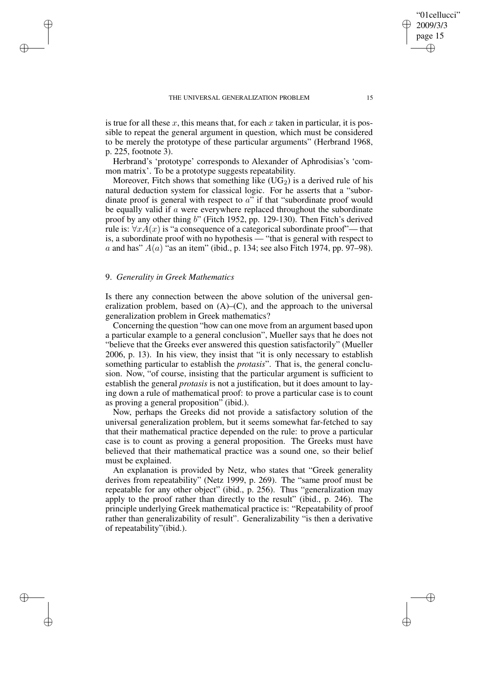is true for all these x, this means that, for each x taken in particular, it is possible to repeat the general argument in question, which must be considered to be merely the prototype of these particular arguments" (Herbrand 1968, p. 225, footnote 3).

Herbrand's 'prototype' corresponds to Alexander of Aphrodisias's 'common matrix'. To be a prototype suggests repeatability.

Moreover, Fitch shows that something like  $(UG_2)$  is a derived rule of his natural deduction system for classical logic. For he asserts that a "subordinate proof is general with respect to  $a$ " if that "subordinate proof would be equally valid if  $a$  were everywhere replaced throughout the subordinate proof by any other thing b" (Fitch 1952, pp. 129-130). Then Fitch's derived rule is:  $\forall x A(x)$  is "a consequence of a categorical subordinate proof"— that is, a subordinate proof with no hypothesis — "that is general with respect to a and has"  $A(a)$  "as an item" (ibid., p. 134; see also Fitch 1974, pp. 97–98).

# 9. *Generality in Greek Mathematics*

✐

✐

✐

✐

Is there any connection between the above solution of the universal generalization problem, based on  $(A)$ – $(C)$ , and the approach to the universal generalization problem in Greek mathematics?

Concerning the question "how can one move from an argument based upon a particular example to a general conclusion", Mueller says that he does not "believe that the Greeks ever answered this question satisfactorily" (Mueller 2006, p. 13). In his view, they insist that "it is only necessary to establish something particular to establish the *protasis*". That is, the general conclusion. Now, "of course, insisting that the particular argument is sufficient to establish the general *protasis* is not a justification, but it does amount to laying down a rule of mathematical proof: to prove a particular case is to count as proving a general proposition" (ibid.).

Now, perhaps the Greeks did not provide a satisfactory solution of the universal generalization problem, but it seems somewhat far-fetched to say that their mathematical practice depended on the rule: to prove a particular case is to count as proving a general proposition. The Greeks must have believed that their mathematical practice was a sound one, so their belief must be explained.

An explanation is provided by Netz, who states that "Greek generality derives from repeatability" (Netz 1999, p. 269). The "same proof must be repeatable for any other object" (ibid., p. 256). Thus "generalization may apply to the proof rather than directly to the result" (ibid., p. 246). The principle underlying Greek mathematical practice is: "Repeatability of proof rather than generalizability of result". Generalizability "is then a derivative of repeatability"(ibid.).

"01cellucci" 2009/3/3 page 15

✐

✐

✐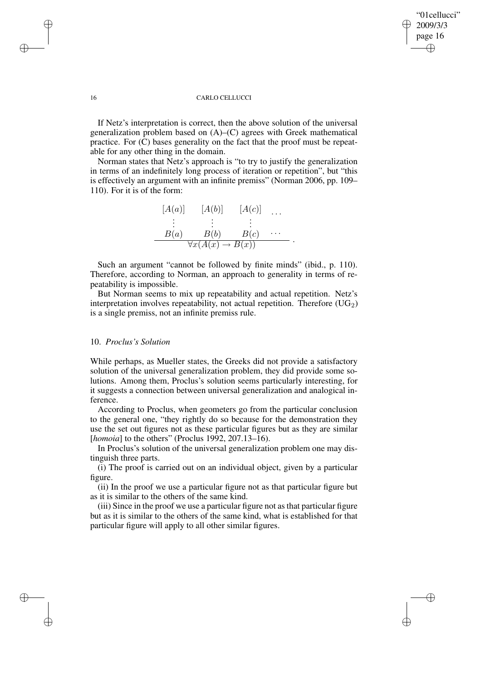## "01cellucci" 2009/3/3 page 16 ✐ ✐

✐

✐

#### 16 CARLO CELLUCCI

If Netz's interpretation is correct, then the above solution of the universal generalization problem based on (A)–(C) agrees with Greek mathematical practice. For (C) bases generality on the fact that the proof must be repeatable for any other thing in the domain.

Norman states that Netz's approach is "to try to justify the generalization in terms of an indefinitely long process of iteration or repetition", but "this is effectively an argument with an infinite premiss" (Norman 2006, pp. 109– 110). For it is of the form:



Such an argument "cannot be followed by finite minds" (ibid., p. 110). Therefore, according to Norman, an approach to generality in terms of repeatability is impossible.

But Norman seems to mix up repeatability and actual repetition. Netz's interpretation involves repeatability, not actual repetition. Therefore  $(UG_2)$ is a single premiss, not an infinite premiss rule.

# 10. *Proclus's Solution*

While perhaps, as Mueller states, the Greeks did not provide a satisfactory solution of the universal generalization problem, they did provide some solutions. Among them, Proclus's solution seems particularly interesting, for it suggests a connection between universal generalization and analogical inference.

According to Proclus, when geometers go from the particular conclusion to the general one, "they rightly do so because for the demonstration they use the set out figures not as these particular figures but as they are similar [*homoia*] to the others" (Proclus 1992, 207.13–16).

In Proclus's solution of the universal generalization problem one may distinguish three parts.

(i) The proof is carried out on an individual object, given by a particular figure.

(ii) In the proof we use a particular figure not as that particular figure but as it is similar to the others of the same kind.

(iii) Since in the proof we use a particular figure not asthat particular figure but as it is similar to the others of the same kind, what is established for that particular figure will apply to all other similar figures.

✐

✐

✐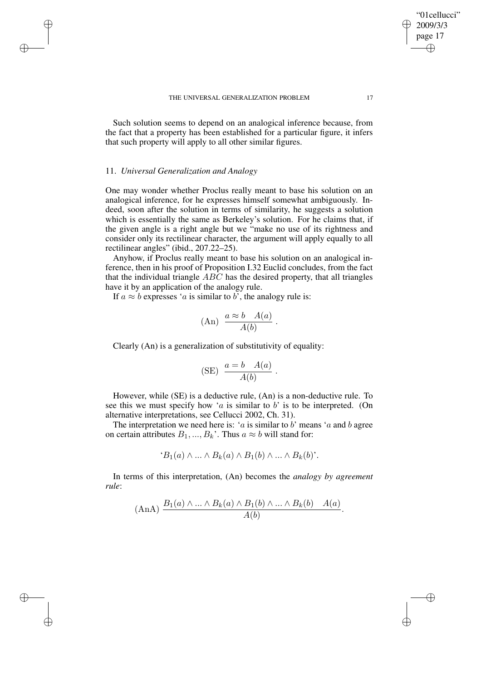Such solution seems to depend on an analogical inference because, from the fact that a property has been established for a particular figure, it infers that such property will apply to all other similar figures.

## 11. *Universal Generalization and Analogy*

✐

✐

✐

✐

One may wonder whether Proclus really meant to base his solution on an analogical inference, for he expresses himself somewhat ambiguously. Indeed, soon after the solution in terms of similarity, he suggests a solution which is essentially the same as Berkeley's solution. For he claims that, if the given angle is a right angle but we "make no use of its rightness and consider only its rectilinear character, the argument will apply equally to all rectilinear angles" (ibid., 207.22–25).

Anyhow, if Proclus really meant to base his solution on an analogical inference, then in his proof of Proposition I.32 Euclid concludes, from the fact that the individual triangle  $ABC$  has the desired property, that all triangles have it by an application of the analogy rule.

If  $a \approx b$  expresses 'a is similar to b', the analogy rule is:

$$
(An) \frac{a \approx b \quad A(a)}{A(b)}.
$$

Clearly (An) is a generalization of substitutivity of equality:

$$
(SE) \frac{a = b \quad A(a)}{A(b)}.
$$

However, while (SE) is a deductive rule, (An) is a non-deductive rule. To see this we must specify how 'a is similar to b' is to be interpreted. (On alternative interpretations, see Cellucci 2002, Ch. 31).

The interpretation we need here is: ' $a$  is similar to  $b'$  means ' $a$  and  $b$  agree on certain attributes  $B_1, ..., B_k$ . Thus  $a \approx b$  will stand for:

$$
B_1(a) \wedge \ldots \wedge B_k(a) \wedge B_1(b) \wedge \ldots \wedge B_k(b)
$$

In terms of this interpretation, (An) becomes the *analogy by agreement rule*:

$$
(\text{AnA}) \frac{B_1(a) \wedge \ldots \wedge B_k(a) \wedge B_1(b) \wedge \ldots \wedge B_k(b) \quad A(a)}{A(b)}.
$$

"01cellucci" 2009/3/3 page 17

✐

✐

✐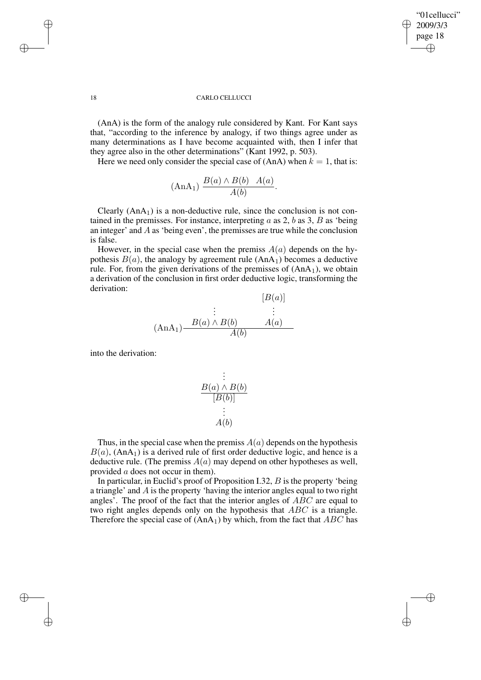✐

✐

#### 18 CARLO CELLUCCI

(AnA) is the form of the analogy rule considered by Kant. For Kant says that, "according to the inference by analogy, if two things agree under as many determinations as I have become acquainted with, then I infer that they agree also in the other determinations" (Kant 1992, p. 503).

Here we need only consider the special case of  $(AnA)$  when  $k = 1$ , that is:

$$
(\text{AnA}_1) \frac{B(a) \wedge B(b) \quad A(a)}{A(b)}.
$$

Clearly  $(AnA<sub>1</sub>)$  is a non-deductive rule, since the conclusion is not contained in the premisses. For instance, interpreting  $a$  as  $2$ ,  $b$  as  $3$ ,  $B$  as 'being an integer' and A as 'being even', the premisses are true while the conclusion is false.

However, in the special case when the premiss  $A(a)$  depends on the hypothesis  $B(a)$ , the analogy by agreement rule  $(AnA<sub>1</sub>)$  becomes a deductive rule. For, from the given derivations of the premisses of  $(AnA<sub>1</sub>)$ , we obtain a derivation of the conclusion in first order deductive logic, transforming the derivation:  $\epsilon = \sqrt{3}$ 

$$
(A n A1) \xrightarrow{B(a) \land B(b)} \xrightarrow{A(a)} (A n A1)
$$

into the derivation:

$$
\begin{array}{c}\n\vdots \\
B(a) \land B(b) \\
\hline\n[B(b)]\n\end{array}
$$
\n
$$
\vdots \\
A(b)
$$

Thus, in the special case when the premiss  $A(a)$  depends on the hypothesis  $B(a)$ , (AnA<sub>1</sub>) is a derived rule of first order deductive logic, and hence is a deductive rule. (The premiss  $A(a)$  may depend on other hypotheses as well, provided a does not occur in them).

In particular, in Euclid's proof of Proposition I.32,  $B$  is the property 'being a triangle' and A is the property 'having the interior angles equal to two right angles'. The proof of the fact that the interior angles of ABC are equal to two right angles depends only on the hypothesis that ABC is a triangle. Therefore the special case of  $(AnA<sub>1</sub>)$  by which, from the fact that  $ABC$  has

✐

✐

✐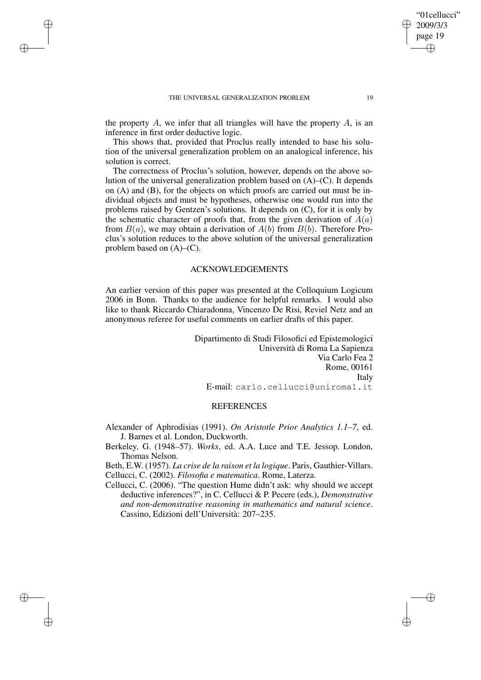✐

✐

✐

✐

the property  $A$ , we infer that all triangles will have the property  $A$ , is an inference in first order deductive logic.

This shows that, provided that Proclus really intended to base his solution of the universal generalization problem on an analogical inference, his solution is correct.

The correctness of Proclus's solution, however, depends on the above solution of the universal generalization problem based on (A)–(C). It depends on (A) and (B), for the objects on which proofs are carried out must be individual objects and must be hypotheses, otherwise one would run into the problems raised by Gentzen's solutions. It depends on (C), for it is only by the schematic character of proofs that, from the given derivation of  $A(a)$ from  $B(a)$ , we may obtain a derivation of  $A(b)$  from  $B(b)$ . Therefore Proclus's solution reduces to the above solution of the universal generalization problem based on  $(A)$ – $(C)$ .

# ACKNOWLEDGEMENTS

An earlier version of this paper was presented at the Colloquium Logicum 2006 in Bonn. Thanks to the audience for helpful remarks. I would also like to thank Riccardo Chiaradonna, Vincenzo De Risi, Reviel Netz and an anonymous referee for useful comments on earlier drafts of this paper.

> Dipartimento di Studi Filosofici ed Epistemologici Università di Roma La Sapienza Via Carlo Fea 2 Rome, 00161 Italy E-mail: carlo.cellucci@uniroma1.it

## **REFERENCES**

Alexander of Aphrodisias (1991). *On Aristotle Prior Analytics 1.1–7*, ed. J. Barnes et al. London, Duckworth.

Berkeley, G. (1948–57). *Works*, ed. A.A. Luce and T.E. Jessop. London, Thomas Nelson.

Beth, E.W. (1957). *La crise de la raison et la logique*. Paris, Gauthier-Villars. Cellucci, C. (2002). *Filosofia e matematica*. Rome, Laterza.

Cellucci, C. (2006). "The question Hume didn't ask: why should we accept deductive inferences?", in C. Cellucci & P. Pecere (eds.), *Demonstrative and non-demonstrative reasoning in mathematics and natural science*. Cassino, Edizioni dell'Università: 207–235.

"01cellucci" 2009/3/3 page 19

✐

✐

✐